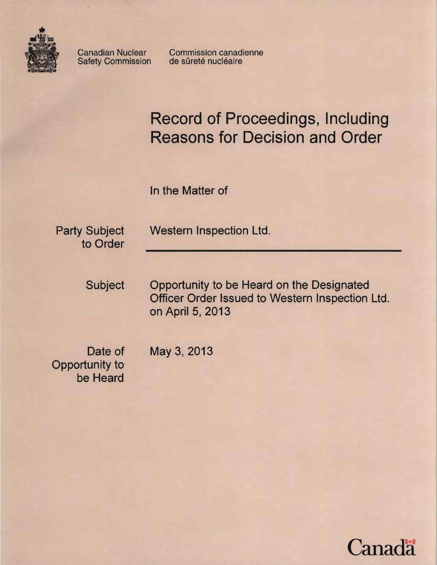

Safety Commission

Canadian Nuclear Commission canadienne<br>Safety Commission de sûreté nucléaire

# Record of Proceedings, Including Reasons for Decision and Order

In the Matter of

to Order

Party Subject Western Inspection Ltd.

Subject Opportunity to be Heard on the Designated Officer Order Issued to Western Inspection Ltd. on April 5, 2013

Opportunity to be Heard

Date of May 3, 2013

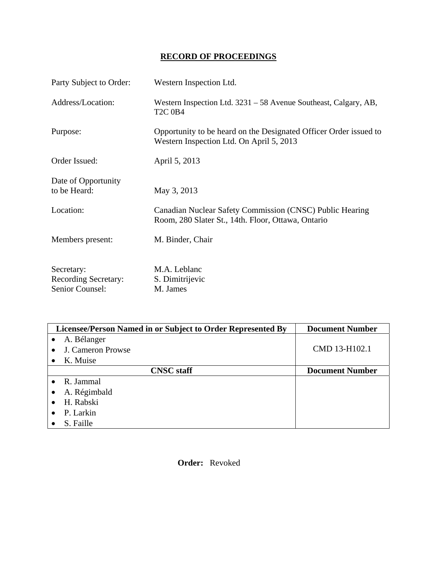# **RECORD OF PROCEEDINGS**

| Party Subject to Order:             | Western Inspection Ltd.                                                                                        |
|-------------------------------------|----------------------------------------------------------------------------------------------------------------|
| Address/Location:                   | Western Inspection Ltd. 3231 – 58 Avenue Southeast, Calgary, AB,<br><b>T2C 0B4</b>                             |
| Purpose:                            | Opportunity to be heard on the Designated Officer Order issued to<br>Western Inspection Ltd. On April 5, 2013  |
| Order Issued:                       | April 5, 2013                                                                                                  |
| Date of Opportunity<br>to be Heard: | May 3, 2013                                                                                                    |
| Location:                           | Canadian Nuclear Safety Commission (CNSC) Public Hearing<br>Room, 280 Slater St., 14th. Floor, Ottawa, Ontario |
| Members present:                    | M. Binder, Chair                                                                                               |
| Secretary:                          | M.A. Leblanc                                                                                                   |
| <b>Recording Secretary:</b>         | S. Dimitrijevic                                                                                                |
| Senior Counsel:                     | M. James                                                                                                       |

| Licensee/Person Named in or Subject to Order Represented By | <b>Document Number</b> |
|-------------------------------------------------------------|------------------------|
| A. Bélanger                                                 |                        |
| J. Cameron Prowse                                           | CMD 13-H102.1          |
| K. Muise                                                    |                        |
| <b>CNSC</b> staff                                           | <b>Document Number</b> |
| R. Jammal<br>$\bullet$                                      |                        |
| A. Régimbald<br>$\bullet$                                   |                        |
| H. Rabski<br>$\bullet$                                      |                        |
| P. Larkin<br>$\bullet$                                      |                        |
| S. Faille                                                   |                        |

 **Order:** Revoked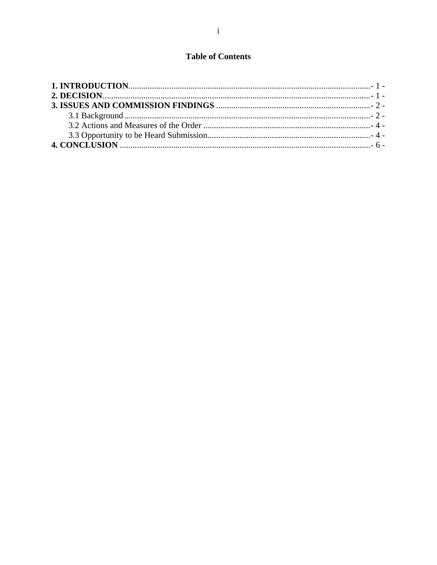# **Table of Contents**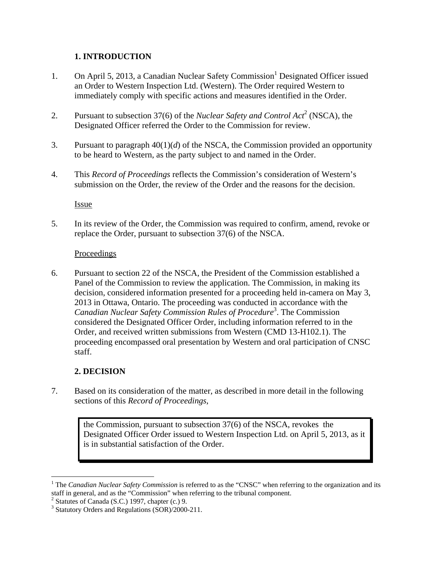## **1. INTRODUCTION**

- 1. On April 5, 2013, a Canadian Nuclear Safety Commission<sup>1</sup> Designated Officer issued an Order to Western Inspection Ltd. (Western). The Order required Western to immediately comply with specific actions and measures identified in the Order.
- 2. Pursuant to subsection 37(6) of the *Nuclear Safety and Control Act*<sup>2</sup> (NSCA), the Designated Officer referred the Order to the Commission for review.
- 3. Pursuant to paragraph 40(1)(*d*) of the NSCA, the Commission provided an opportunity to be heard to Western, as the party subject to and named in the Order.
- 4. This *Record of Proceedings* reflects the Commission's consideration of Western's submission on the Order, the review of the Order and the reasons for the decision.

Issue

5. In its review of the Order, the Commission was required to confirm, amend, revoke or replace the Order, pursuant to subsection 37(6) of the NSCA.

#### Proceedings

6. Pursuant to section 22 of the NSCA, the President of the Commission established a Panel of the Commission to review the application. The Commission, in making its decision, considered information presented for a proceeding held in-camera on May 3, 2013 in Ottawa, Ontario. The proceeding was conducted in accordance with the *Canadian Nuclear Safety Commission Rules of Procedure*<sup>3</sup> . The Commission considered the Designated Officer Order, including information referred to in the Order, and received written submissions from Western (CMD 13-H102.1). The proceeding encompassed oral presentation by Western and oral participation of CNSC staff.

## **2. DECISION**

<u>.</u>

7. Based on its consideration of the matter, as described in more detail in the following sections of this *Record of Proceedings*,

> the Commission, pursuant to subsection 37(6) of the NSCA, revokes the Designated Officer Order issued to Western Inspection Ltd. on April 5, 2013, as it is in substantial satisfaction of the Order.

<sup>&</sup>lt;sup>1</sup> The *Canadian Nuclear Safety Commission* is referred to as the "CNSC" when referring to the organization and its staff in general, and as the "Commission" when referring to the tribunal component.

 $2$  Statutes of Canada (S.C.) 1997, chapter (c.) 9.

<sup>&</sup>lt;sup>3</sup> Statutory Orders and Regulations (SOR)/2000-211.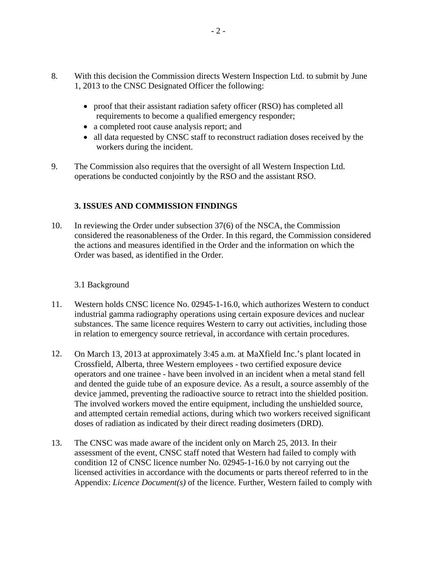- 8. With this decision the Commission directs Western Inspection Ltd. to submit by June 1, 2013 to the CNSC Designated Officer the following:
	- proof that their assistant radiation safety officer (RSO) has completed all requirements to become a qualified emergency responder;
	- a completed root cause analysis report; and
	- all data requested by CNSC staff to reconstruct radiation doses received by the workers during the incident.
- 9. The Commission also requires that the oversight of all Western Inspection Ltd. operations be conducted conjointly by the RSO and the assistant RSO.

## **3. ISSUES AND COMMISSION FINDINGS**

10. In reviewing the Order under subsection 37(6) of the NSCA, the Commission considered the reasonableness of the Order. In this regard, the Commission considered the actions and measures identified in the Order and the information on which the Order was based, as identified in the Order.

#### 3.1 Background

- 11. Western holds CNSC licence No. 02945-1-16.0, which authorizes Western to conduct industrial gamma radiography operations using certain exposure devices and nuclear substances. The same licence requires Western to carry out activities, including those in relation to emergency source retrieval, in accordance with certain procedures.
- 12. On March 13, 2013 at approximately 3:45 a.m. at MaXfield Inc.'s plant located in Crossfield, Alberta, three Western employees - two certified exposure device operators and one trainee - have been involved in an incident when a metal stand fell and dented the guide tube of an exposure device. As a result, a source assembly of the device jammed, preventing the radioactive source to retract into the shielded position. The involved workers moved the entire equipment, including the unshielded source, and attempted certain remedial actions, during which two workers received significant doses of radiation as indicated by their direct reading dosimeters (DRD).
- 13. The CNSC was made aware of the incident only on March 25, 2013. In their assessment of the event, CNSC staff noted that Western had failed to comply with condition 12 of CNSC licence number No. 02945-1-16.0 by not carrying out the licensed activities in accordance with the documents or parts thereof referred to in the Appendix: *Licence Document(s)* of the licence. Further, Western failed to comply with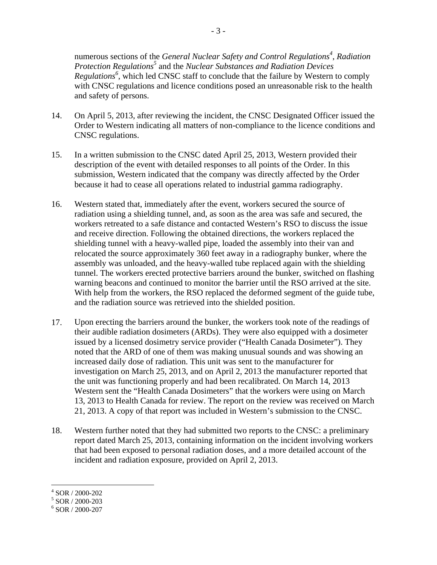numerous sections of the *General Nuclear Safety and Control Regulations<sup>4</sup>, Radiation Protection Regulations*<sup>5</sup> and the *Nuclear Substances and Radiation Devices* Regulations<sup>6</sup>, which led CNSC staff to conclude that the failure by Western to comply with CNSC regulations and licence conditions posed an unreasonable risk to the health and safety of persons.

- 14. On April 5, 2013, after reviewing the incident, the CNSC Designated Officer issued the Order to Western indicating all matters of non-compliance to the licence conditions and CNSC regulations.
- 15. In a written submission to the CNSC dated April 25, 2013, Western provided their description of the event with detailed responses to all points of the Order. In this submission, Western indicated that the company was directly affected by the Order because it had to cease all operations related to industrial gamma radiography.
- 16. Western stated that, immediately after the event, workers secured the source of radiation using a shielding tunnel, and, as soon as the area was safe and secured, the workers retreated to a safe distance and contacted Western's RSO to discuss the issue and receive direction. Following the obtained directions, the workers replaced the shielding tunnel with a heavy-walled pipe, loaded the assembly into their van and relocated the source approximately 360 feet away in a radiography bunker, where the assembly was unloaded, and the heavy-walled tube replaced again with the shielding tunnel. The workers erected protective barriers around the bunker, switched on flashing warning beacons and continued to monitor the barrier until the RSO arrived at the site. With help from the workers, the RSO replaced the deformed segment of the guide tube, and the radiation source was retrieved into the shielded position.
- 17. Upon erecting the barriers around the bunker, the workers took note of the readings of their audible radiation dosimeters (ARDs). They were also equipped with a dosimeter issued by a licensed dosimetry service provider ("Health Canada Dosimeter"). They noted that the ARD of one of them was making unusual sounds and was showing an increased daily dose of radiation. This unit was sent to the manufacturer for investigation on March 25, 2013, and on April 2, 2013 the manufacturer reported that the unit was functioning properly and had been recalibrated. On March 14, 2013 Western sent the "Health Canada Dosimeters" that the workers were using on March 13, 2013 to Health Canada for review. The report on the review was received on March 21, 2013. A copy of that report was included in Western's submission to the CNSC.
- 18. Western further noted that they had submitted two reports to the CNSC: a preliminary report dated March 25, 2013, containing information on the incident involving workers that had been exposed to personal radiation doses, and a more detailed account of the incident and radiation exposure, provided on April 2, 2013.

 4 SOR / 2000-202 5 SOR / 2000-203

<sup>6</sup> SOR / 2000-207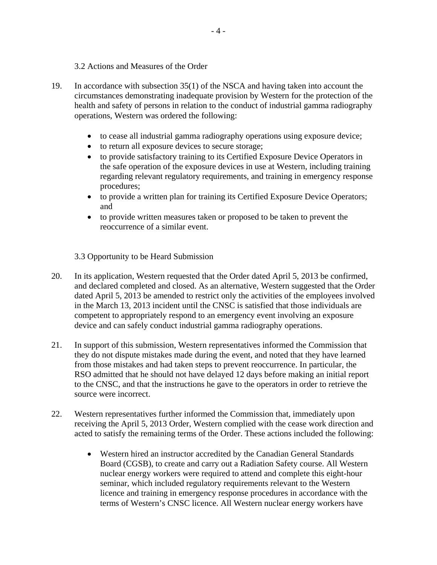- 3.2 Actions and Measures of the Order
- 19. In accordance with subsection 35(1) of the NSCA and having taken into account the circumstances demonstrating inadequate provision by Western for the protection of the health and safety of persons in relation to the conduct of industrial gamma radiography operations, Western was ordered the following:
	- to cease all industrial gamma radiography operations using exposure device;
	- to return all exposure devices to secure storage;
	- to provide satisfactory training to its Certified Exposure Device Operators in the safe operation of the exposure devices in use at Western, including training regarding relevant regulatory requirements, and training in emergency response procedures;
	- to provide a written plan for training its Certified Exposure Device Operators; and
	- to provide written measures taken or proposed to be taken to prevent the reoccurrence of a similar event.

3.3 Opportunity to be Heard Submission

- 20. In its application, Western requested that the Order dated April 5, 2013 be confirmed, and declared completed and closed. As an alternative, Western suggested that the Order dated April 5, 2013 be amended to restrict only the activities of the employees involved in the March 13, 2013 incident until the CNSC is satisfied that those individuals are competent to appropriately respond to an emergency event involving an exposure device and can safely conduct industrial gamma radiography operations.
- 21. In support of this submission, Western representatives informed the Commission that they do not dispute mistakes made during the event, and noted that they have learned from those mistakes and had taken steps to prevent reoccurrence. In particular, the RSO admitted that he should not have delayed 12 days before making an initial report to the CNSC, and that the instructions he gave to the operators in order to retrieve the source were incorrect.
- 22. Western representatives further informed the Commission that, immediately upon receiving the April 5, 2013 Order, Western complied with the cease work direction and acted to satisfy the remaining terms of the Order. These actions included the following:
	- Western hired an instructor accredited by the Canadian General Standards Board (CGSB), to create and carry out a Radiation Safety course. All Western nuclear energy workers were required to attend and complete this eight-hour seminar, which included regulatory requirements relevant to the Western licence and training in emergency response procedures in accordance with the terms of Western's CNSC licence. All Western nuclear energy workers have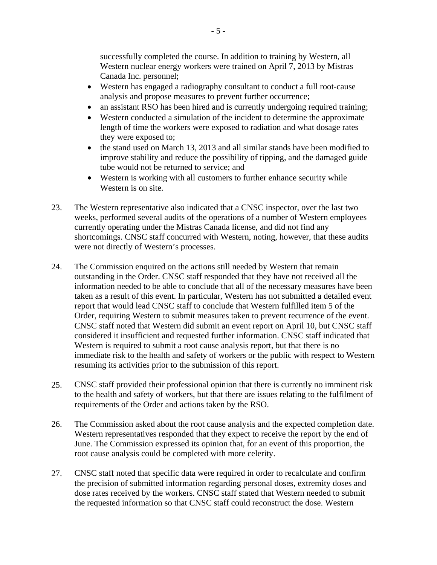successfully completed the course. In addition to training by Western, all Western nuclear energy workers were trained on April 7, 2013 by Mistras Canada Inc. personnel;

- Western has engaged a radiography consultant to conduct a full root-cause analysis and propose measures to prevent further occurrence;
- an assistant RSO has been hired and is currently undergoing required training;
- Western conducted a simulation of the incident to determine the approximate length of time the workers were exposed to radiation and what dosage rates they were exposed to;
- the stand used on March 13, 2013 and all similar stands have been modified to improve stability and reduce the possibility of tipping, and the damaged guide tube would not be returned to service; and
- Western is working with all customers to further enhance security while Western is on site.
- 23. The Western representative also indicated that a CNSC inspector, over the last two weeks, performed several audits of the operations of a number of Western employees currently operating under the Mistras Canada license, and did not find any shortcomings. CNSC staff concurred with Western, noting, however, that these audits were not directly of Western's processes.
- 24. The Commission enquired on the actions still needed by Western that remain outstanding in the Order. CNSC staff responded that they have not received all the information needed to be able to conclude that all of the necessary measures have been taken as a result of this event. In particular, Western has not submitted a detailed event report that would lead CNSC staff to conclude that Western fulfilled item 5 of the Order, requiring Western to submit measures taken to prevent recurrence of the event. CNSC staff noted that Western did submit an event report on April 10, but CNSC staff considered it insufficient and requested further information. CNSC staff indicated that Western is required to submit a root cause analysis report, but that there is no immediate risk to the health and safety of workers or the public with respect to Western resuming its activities prior to the submission of this report.
- 25. CNSC staff provided their professional opinion that there is currently no imminent risk to the health and safety of workers, but that there are issues relating to the fulfilment of requirements of the Order and actions taken by the RSO.
- 26. The Commission asked about the root cause analysis and the expected completion date. Western representatives responded that they expect to receive the report by the end of June. The Commission expressed its opinion that, for an event of this proportion, the root cause analysis could be completed with more celerity.
- 27. CNSC staff noted that specific data were required in order to recalculate and confirm the precision of submitted information regarding personal doses, extremity doses and dose rates received by the workers. CNSC staff stated that Western needed to submit the requested information so that CNSC staff could reconstruct the dose. Western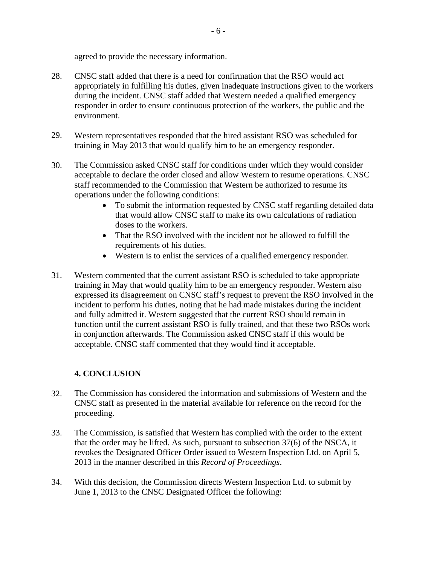agreed to provide the necessary information.

- 28. CNSC staff added that there is a need for confirmation that the RSO would act appropriately in fulfilling his duties, given inadequate instructions given to the workers during the incident. CNSC staff added that Western needed a qualified emergency responder in order to ensure continuous protection of the workers, the public and the environment.
- 29. Western representatives responded that the hired assistant RSO was scheduled for training in May 2013 that would qualify him to be an emergency responder.
- 30. The Commission asked CNSC staff for conditions under which they would consider acceptable to declare the order closed and allow Western to resume operations. CNSC staff recommended to the Commission that Western be authorized to resume its operations under the following conditions:
	- To submit the information requested by CNSC staff regarding detailed data that would allow CNSC staff to make its own calculations of radiation doses to the workers.
	- That the RSO involved with the incident not be allowed to fulfill the requirements of his duties.
	- Western is to enlist the services of a qualified emergency responder.
- 31. Western commented that the current assistant RSO is scheduled to take appropriate training in May that would qualify him to be an emergency responder. Western also expressed its disagreement on CNSC staff's request to prevent the RSO involved in the incident to perform his duties, noting that he had made mistakes during the incident and fully admitted it. Western suggested that the current RSO should remain in function until the current assistant RSO is fully trained, and that these two RSOs work in conjunction afterwards. The Commission asked CNSC staff if this would be acceptable. CNSC staff commented that they would find it acceptable.

## **4. CONCLUSION**

- 32. The Commission has considered the information and submissions of Western and the CNSC staff as presented in the material available for reference on the record for the proceeding.
- 33. The Commission, is satisfied that Western has complied with the order to the extent that the order may be lifted. As such, pursuant to subsection 37(6) of the NSCA, it revokes the Designated Officer Order issued to Western Inspection Ltd. on April 5, 2013 in the manner described in this *Record of Proceedings*.
- 34. With this decision, the Commission directs Western Inspection Ltd. to submit by June 1, 2013 to the CNSC Designated Officer the following: